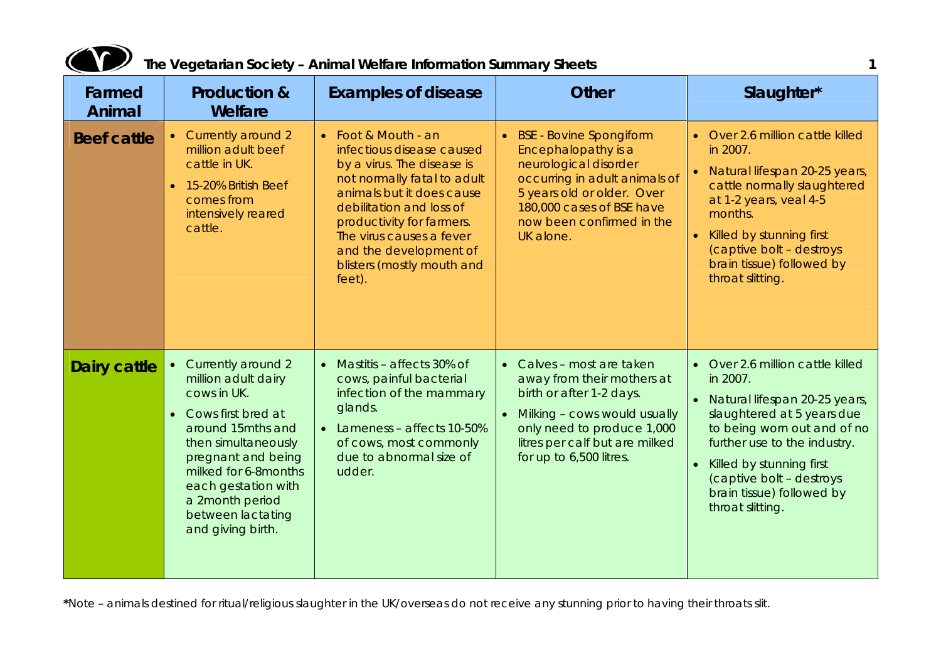

| Farmed<br>Animal    | <b>Production &amp;</b><br>Welfare                                                                                                                                                                                                                               | <b>Examples of disease</b>                                                                                                                                                                                                                                                                        | <b>Other</b>                                                                                                                                                                                                                | Slaughter*                                                                                                                                                                                                                                                                              |
|---------------------|------------------------------------------------------------------------------------------------------------------------------------------------------------------------------------------------------------------------------------------------------------------|---------------------------------------------------------------------------------------------------------------------------------------------------------------------------------------------------------------------------------------------------------------------------------------------------|-----------------------------------------------------------------------------------------------------------------------------------------------------------------------------------------------------------------------------|-----------------------------------------------------------------------------------------------------------------------------------------------------------------------------------------------------------------------------------------------------------------------------------------|
| <b>Beef cattle</b>  | • Currently around 2<br>million adult beef<br>cattle in UK.<br>• 15-20% British Beef<br>comes from<br>intensively reared<br>cattle.                                                                                                                              | • Foot & Mouth - an<br>infectious disease caused<br>by a virus. The disease is<br>not normally fatal to adult<br>animals but it does cause<br>debilitation and loss of<br>productivity for farmers.<br>The virus causes a fever<br>and the development of<br>blisters (mostly mouth and<br>feet). | <b>BSE</b> - Bovine Spongiform<br>Encephalopathy is a<br>neurological disorder<br>occurring in adult animals of<br>5 years old or older. Over<br>180,000 cases of BSE have<br>now been confirmed in the<br>UK alone.        | • Over 2.6 million cattle killed<br>in 2007.<br>• Natural lifespan 20-25 years,<br>cattle normally slaughtered<br>at 1-2 years, veal 4-5<br>months.<br>• Killed by stunning first<br>(captive bolt - destroys<br>brain tissue) followed by<br>throat slitting.                          |
| <b>Dairy cattle</b> | • Currently around 2<br>million adult dairy<br>cows in UK.<br>• Cows first bred at<br>around 15mths and<br>then simultaneously<br>pregnant and being<br>milked for 6-8months<br>each gestation with<br>a 2month period<br>between lactating<br>and giving birth. | Mastitis - affects 30% of<br>cows, painful bacterial<br>infection of the mammary<br>glands.<br>• Lameness - affects 10-50%<br>of cows, most commonly<br>due to abnormal size of<br>udder.                                                                                                         | • Calves - most are taken<br>away from their mothers at<br>birth or after 1-2 days.<br>Milking - cows would usually<br>$\bullet$<br>only need to produce 1,000<br>litres per calf but are milked<br>for up to 6,500 litres. | • Over 2.6 million cattle killed<br>in 2007.<br>• Natural lifespan 20-25 years,<br>slaughtered at 5 years due<br>to being worn out and of no<br>further use to the industry.<br>• Killed by stunning first<br>(captive bolt - destroys<br>brain tissue) followed by<br>throat slitting. |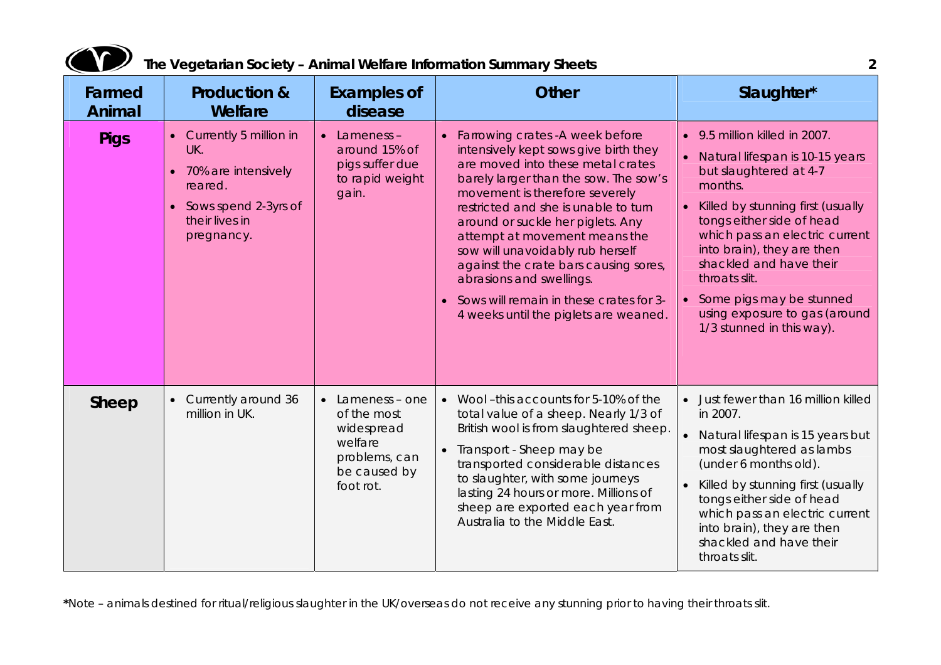| Farmed<br>Animal | <b>Production &amp;</b><br>Welfare                                                                                            | <b>Examples of</b><br>disease                                                                                  | <b>Other</b>                                                                                                                                                                                                                                                                                                                                                                                                                                                                                             | Slaughter*                                                                                                                                                                                                                                                                                                                                                                                            |
|------------------|-------------------------------------------------------------------------------------------------------------------------------|----------------------------------------------------------------------------------------------------------------|----------------------------------------------------------------------------------------------------------------------------------------------------------------------------------------------------------------------------------------------------------------------------------------------------------------------------------------------------------------------------------------------------------------------------------------------------------------------------------------------------------|-------------------------------------------------------------------------------------------------------------------------------------------------------------------------------------------------------------------------------------------------------------------------------------------------------------------------------------------------------------------------------------------------------|
| <b>Pigs</b>      | • Currently 5 million in<br>UK.<br>• 70% are intensively<br>reared.<br>• Sows spend 2-3yrs of<br>their lives in<br>pregnancy. | $\bullet$ Lameness -<br>around 15% of<br>pigs suffer due<br>to rapid weight<br>gain.                           | • Farrowing crates - A week before<br>intensively kept sows give birth they<br>are moved into these metal crates<br>barely larger than the sow. The sow's<br>movement is therefore severely<br>restricted and she is unable to turn<br>around or suckle her piglets. Any<br>attempt at movement means the<br>sow will unavoidably rub herself<br>against the crate bars causing sores,<br>abrasions and swellings.<br>• Sows will remain in these crates for 3-<br>4 weeks until the piglets are weaned. | 9.5 million killed in 2007.<br>$\bullet$<br>Natural lifespan is 10-15 years<br>but slaughtered at 4-7<br>months.<br>Killed by stunning first (usually<br>tongs either side of head<br>which pass an electric current<br>into brain), they are then<br>shackled and have their<br>throats slit.<br>Some pigs may be stunned<br>$\bullet$<br>using exposure to gas (around<br>1/3 stunned in this way). |
| Sheep            | Currently around 36<br>million in UK.                                                                                         | $\bullet$ Lameness – one<br>of the most<br>widespread<br>welfare<br>problems, can<br>be caused by<br>foot rot. | • Wool-this accounts for 5-10% of the<br>total value of a sheep. Nearly 1/3 of<br>British wool is from slaughtered sheep.<br>• Transport - Sheep may be<br>transported considerable distances<br>to slaughter, with some journeys<br>lasting 24 hours or more. Millions of<br>sheep are exported each year from<br>Australia to the Middle East.                                                                                                                                                         | Just fewer than 16 million killed<br>in 2007.<br>Natural lifespan is 15 years but<br>most slaughtered as lambs<br>(under 6 months old).<br>Killed by stunning first (usually<br>tongs either side of head<br>which pass an electric current<br>into brain), they are then<br>shackled and have their<br>throats slit.                                                                                 |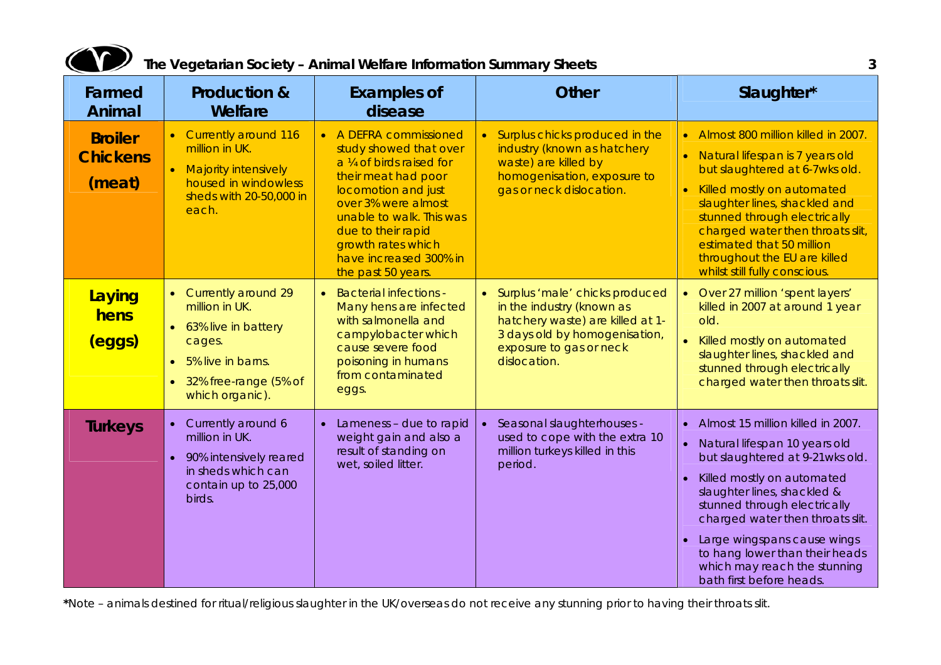

| Farmed<br>Animal                            | <b>Production &amp;</b><br>Welfare                                                                                                                                               | <b>Examples of</b><br>disease                                                                                                                                                                                                                                              | <b>Other</b>                                                                                                                                                                  | Slaughter*                                                                                                                                                                                                                                                                                                                                                                                                               |
|---------------------------------------------|----------------------------------------------------------------------------------------------------------------------------------------------------------------------------------|----------------------------------------------------------------------------------------------------------------------------------------------------------------------------------------------------------------------------------------------------------------------------|-------------------------------------------------------------------------------------------------------------------------------------------------------------------------------|--------------------------------------------------------------------------------------------------------------------------------------------------------------------------------------------------------------------------------------------------------------------------------------------------------------------------------------------------------------------------------------------------------------------------|
| <b>Broiler</b><br><b>Chickens</b><br>(meat) | • Currently around 116<br>million in UK.<br>• Majority intensively<br>housed in windowless<br>sheds with 20-50,000 in<br>each.                                                   | • A DEFRA commissioned<br>study showed that over<br>a 1/4 of birds raised for<br>their meat had poor<br>locomotion and just<br>over 3% were almost<br>unable to walk. This was<br>due to their rapid<br>growth rates which<br>have increased 300% in<br>the past 50 years. | • Surplus chicks produced in the<br>industry (known as hatchery<br>waste) are killed by<br>homogenisation, exposure to<br>gas or neck dislocation.                            | Almost 800 million killed in 2007.<br>$\bullet$<br>Natural lifespan is 7 years old<br>but slaughtered at 6-7wks old.<br>Killed mostly on automated<br>$\bullet$<br>slaughter lines, shackled and<br>stunned through electrically<br>charged water then throats slit,<br>estimated that 50 million<br>throughout the EU are killed<br>whilst still fully conscious.                                                       |
| Laying<br>hens<br>(eggs)                    | Currently around 29<br>$\bullet$<br>million in UK.<br>• 63% live in battery<br>cages.<br>5% live in barns.<br>$\bullet$<br>32% free-range (5% of<br>$\bullet$<br>which organic). | • Bacterial infections -<br>Many hens are infected<br>with salmonella and<br>campylobacter which<br>cause severe food<br>poisoning in humans<br>from contaminated<br>eggs.                                                                                                 | • Surplus 'male' chicks produced<br>in the industry (known as<br>hatchery waste) are killed at 1-<br>3 days old by homogenisation,<br>exposure to gas or neck<br>dislocation. | Over 27 million 'spent layers'<br>killed in 2007 at around 1 year<br>old.<br>Killed mostly on automated<br>$\bullet$<br>slaughter lines, shackled and<br>stunned through electrically<br>charged water then throats slit.                                                                                                                                                                                                |
| <b>Turkeys</b>                              | Currently around 6<br>$\bullet$<br>million in UK.<br>90% intensively reared<br>$\bullet$<br>in sheds which can<br>contain up to 25,000<br>birds.                                 | Lameness - due to rapid<br>$\bullet$<br>weight gain and also a<br>result of standing on<br>wet, soiled litter.                                                                                                                                                             | Seasonal slaughterhouses -<br>used to cope with the extra 10<br>million turkeys killed in this<br>period.                                                                     | Almost 15 million killed in 2007.<br>$\bullet$<br>Natural lifespan 10 years old<br>$\bullet$<br>but slaughtered at 9-21 wks old.<br>Killed mostly on automated<br>$\bullet$<br>slaughter lines, shackled &<br>stunned through electrically<br>charged water then throats slit.<br>Large wingspans cause wings<br>$\bullet$<br>to hang lower than their heads<br>which may reach the stunning<br>bath first before heads. |